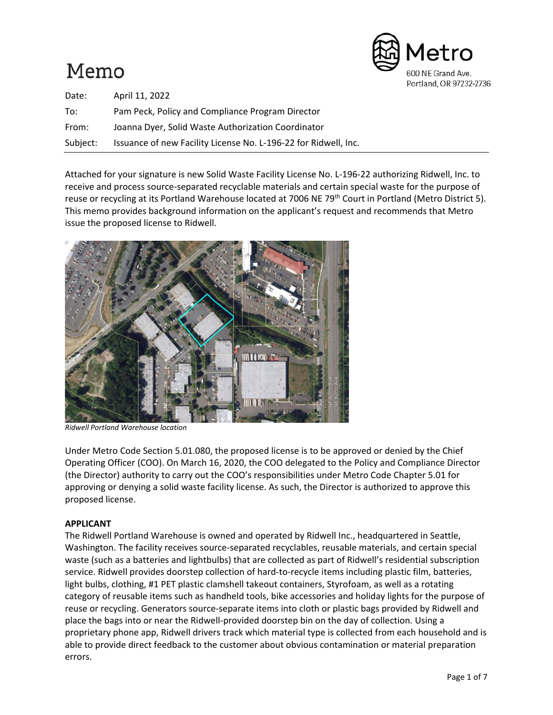# Memo



| Date:    | April 11, 2022                                                  |
|----------|-----------------------------------------------------------------|
| To:      | Pam Peck, Policy and Compliance Program Director                |
| From:    | Joanna Dyer, Solid Waste Authorization Coordinator              |
| Subject: | Issuance of new Facility License No. L-196-22 for Ridwell, Inc. |

Attached for your signature is new Solid Waste Facility License No. L-196-22 authorizing Ridwell, Inc. to receive and process source-separated recyclable materials and certain special waste for the purpose of reuse or recycling at its Portland Warehouse located at 7006 NE 79<sup>th</sup> Court in Portland (Metro District 5). This memo provides background information on the applicant's request and recommends that Metro issue the proposed license to Ridwell.



*Ridwell Portland Warehouse location* 

Under Metro Code Section 5.01.080, the proposed license is to be approved or denied by the Chief Operating Officer (COO). On March 16, 2020, the COO delegated to the Policy and Compliance Director (the Director) authority to carry out the COO's responsibilities under Metro Code Chapter 5.01 for approving or denying a solid waste facility license. As such, the Director is authorized to approve this proposed license.

# **APPLICANT**

The Ridwell Portland Warehouse is owned and operated by Ridwell Inc., headquartered in Seattle, Washington. The facility receives source-separated recyclables, reusable materials, and certain special waste (such as a batteries and lightbulbs) that are collected as part of Ridwell's residential subscription service. Ridwell provides doorstep collection of hard-to-recycle items including plastic film, batteries, light bulbs, clothing, #1 PET plastic clamshell takeout containers, Styrofoam, as well as a rotating category of reusable items such as handheld tools, bike accessories and holiday lights for the purpose of reuse or recycling. Generators source-separate items into cloth or plastic bags provided by Ridwell and place the bags into or near the Ridwell-provided doorstep bin on the day of collection. Using a proprietary phone app, Ridwell drivers track which material type is collected from each household and is able to provide direct feedback to the customer about obvious contamination or material preparation errors.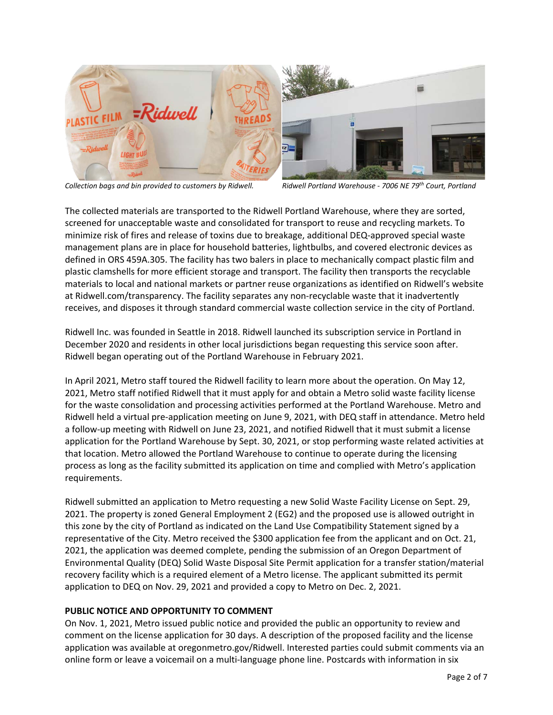

*Collection bags and bin provided to customers by Ridwell. Ridwell Portland Warehouse - 7006 NE 79th Court, Portland*

The collected materials are transported to the Ridwell Portland Warehouse, where they are sorted, screened for unacceptable waste and consolidated for transport to reuse and recycling markets. To minimize risk of fires and release of toxins due to breakage, additional DEQ-approved special waste management plans are in place for household batteries, lightbulbs, and covered electronic devices as defined in ORS 459A.305. The facility has two balers in place to mechanically compact plastic film and plastic clamshells for more efficient storage and transport. The facility then transports the recyclable materials to local and national markets or partner reuse organizations as identified on Ridwell's website at Ridwell.com/transparency. The facility separates any non-recyclable waste that it inadvertently receives, and disposes it through standard commercial waste collection service in the city of Portland.

Ridwell Inc. was founded in Seattle in 2018. Ridwell launched its subscription service in Portland in December 2020 and residents in other local jurisdictions began requesting this service soon after. Ridwell began operating out of the Portland Warehouse in February 2021.

In April 2021, Metro staff toured the Ridwell facility to learn more about the operation. On May 12, 2021, Metro staff notified Ridwell that it must apply for and obtain a Metro solid waste facility license for the waste consolidation and processing activities performed at the Portland Warehouse. Metro and Ridwell held a virtual pre-application meeting on June 9, 2021, with DEQ staff in attendance. Metro held a follow-up meeting with Ridwell on June 23, 2021, and notified Ridwell that it must submit a license application for the Portland Warehouse by Sept. 30, 2021, or stop performing waste related activities at that location. Metro allowed the Portland Warehouse to continue to operate during the licensing process as long as the facility submitted its application on time and complied with Metro's application requirements.

Ridwell submitted an application to Metro requesting a new Solid Waste Facility License on Sept. 29, 2021. The property is zoned General Employment 2 (EG2) and the proposed use is allowed outright in this zone by the city of Portland as indicated on the Land Use Compatibility Statement signed by a representative of the City. Metro received the \$300 application fee from the applicant and on Oct. 21, 2021, the application was deemed complete, pending the submission of an Oregon Department of Environmental Quality (DEQ) Solid Waste Disposal Site Permit application for a transfer station/material recovery facility which is a required element of a Metro license. The applicant submitted its permit application to DEQ on Nov. 29, 2021 and provided a copy to Metro on Dec. 2, 2021.

## **PUBLIC NOTICE AND OPPORTUNITY TO COMMENT**

On Nov. 1, 2021, Metro issued public notice and provided the public an opportunity to review and comment on the license application for 30 days. A description of the proposed facility and the license application was available at oregonmetro.gov/Ridwell. Interested parties could submit comments via an online form or leave a voicemail on a multi-language phone line. Postcards with information in six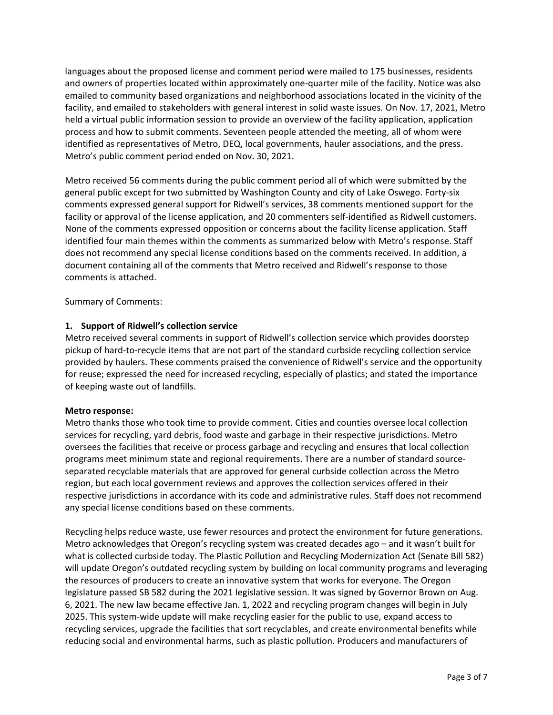languages about the proposed license and comment period were mailed to 175 businesses, residents and owners of properties located within approximately one-quarter mile of the facility. Notice was also emailed to community based organizations and neighborhood associations located in the vicinity of the facility, and emailed to stakeholders with general interest in solid waste issues. On Nov. 17, 2021, Metro held a virtual public information session to provide an overview of the facility application, application process and how to submit comments. Seventeen people attended the meeting, all of whom were identified as representatives of Metro, DEQ, local governments, hauler associations, and the press. Metro's public comment period ended on Nov. 30, 2021.

Metro received 56 comments during the public comment period all of which were submitted by the general public except for two submitted by Washington County and city of Lake Oswego. Forty-six comments expressed general support for Ridwell's services, 38 comments mentioned support for the facility or approval of the license application, and 20 commenters self-identified as Ridwell customers. None of the comments expressed opposition or concerns about the facility license application. Staff identified four main themes within the comments as summarized below with Metro's response. Staff does not recommend any special license conditions based on the comments received. In addition, a document containing all of the comments that Metro received and Ridwell's response to those comments is attached.

Summary of Comments:

## **1. Support of Ridwell's collection service**

Metro received several comments in support of Ridwell's collection service which provides doorstep pickup of hard-to-recycle items that are not part of the standard curbside recycling collection service provided by haulers. These comments praised the convenience of Ridwell's service and the opportunity for reuse; expressed the need for increased recycling, especially of plastics; and stated the importance of keeping waste out of landfills.

## **Metro response:**

Metro thanks those who took time to provide comment. Cities and counties oversee local collection services for recycling, yard debris, food waste and garbage in their respective jurisdictions. Metro oversees the facilities that receive or process garbage and recycling and ensures that local collection programs meet minimum state and regional requirements. There are a number of standard sourceseparated recyclable materials that are approved for general curbside collection across the Metro region, but each local government reviews and approves the collection services offered in their respective jurisdictions in accordance with its code and administrative rules. Staff does not recommend any special license conditions based on these comments.

Recycling helps reduce waste, use fewer resources and protect the environment for future generations. Metro acknowledges that Oregon's recycling system was created decades ago – and it wasn't built for what is collected curbside today. The Plastic Pollution and Recycling Modernization Act (Senate Bill 582) will update Oregon's outdated recycling system by building on local community programs and leveraging the resources of producers to create an innovative system that works for everyone. The Oregon legislature passed SB 582 during the 2021 legislative session. It was signed by Governor Brown on Aug. 6, 2021. The new law became effective Jan. 1, 2022 and recycling program changes will begin in July 2025. This system-wide update will make recycling easier for the public to use, expand access to recycling services, upgrade the facilities that sort recyclables, and create environmental benefits while reducing social and environmental harms, such as plastic pollution. Producers and manufacturers of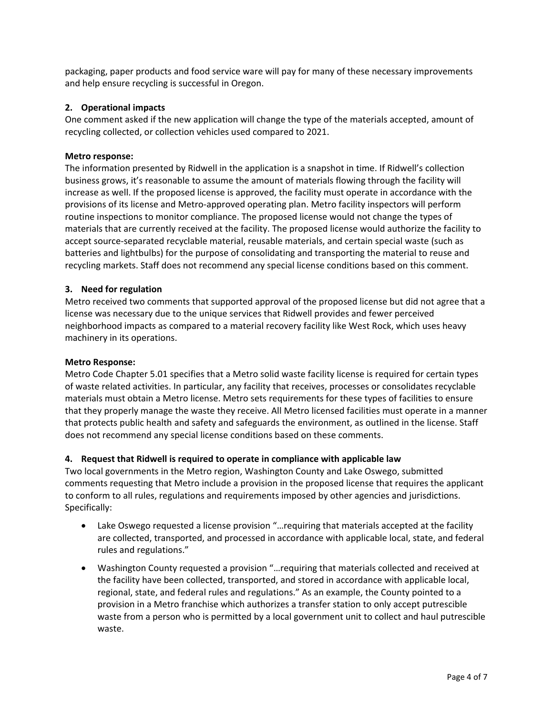packaging, paper products and food service ware will pay for many of these necessary improvements and help ensure recycling is successful in Oregon.

## **2. Operational impacts**

One comment asked if the new application will change the type of the materials accepted, amount of recycling collected, or collection vehicles used compared to 2021.

## **Metro response:**

The information presented by Ridwell in the application is a snapshot in time. If Ridwell's collection business grows, it's reasonable to assume the amount of materials flowing through the facility will increase as well. If the proposed license is approved, the facility must operate in accordance with the provisions of its license and Metro-approved operating plan. Metro facility inspectors will perform routine inspections to monitor compliance. The proposed license would not change the types of materials that are currently received at the facility. The proposed license would authorize the facility to accept source-separated recyclable material, reusable materials, and certain special waste (such as batteries and lightbulbs) for the purpose of consolidating and transporting the material to reuse and recycling markets. Staff does not recommend any special license conditions based on this comment.

## **3. Need for regulation**

Metro received two comments that supported approval of the proposed license but did not agree that a license was necessary due to the unique services that Ridwell provides and fewer perceived neighborhood impacts as compared to a material recovery facility like West Rock, which uses heavy machinery in its operations.

## **Metro Response:**

Metro Code Chapter 5.01 specifies that a Metro solid waste facility license is required for certain types of waste related activities. In particular, any facility that receives, processes or consolidates recyclable materials must obtain a Metro license. Metro sets requirements for these types of facilities to ensure that they properly manage the waste they receive. All Metro licensed facilities must operate in a manner that protects public health and safety and safeguards the environment, as outlined in the license. Staff does not recommend any special license conditions based on these comments.

# **4. Request that Ridwell is required to operate in compliance with applicable law**

Two local governments in the Metro region, Washington County and Lake Oswego, submitted comments requesting that Metro include a provision in the proposed license that requires the applicant to conform to all rules, regulations and requirements imposed by other agencies and jurisdictions. Specifically:

- Lake Oswego requested a license provision "…requiring that materials accepted at the facility are collected, transported, and processed in accordance with applicable local, state, and federal rules and regulations."
- Washington County requested a provision "…requiring that materials collected and received at the facility have been collected, transported, and stored in accordance with applicable local, regional, state, and federal rules and regulations." As an example, the County pointed to a provision in a Metro franchise which authorizes a transfer station to only accept putrescible waste from a person who is permitted by a local government unit to collect and haul putrescible waste.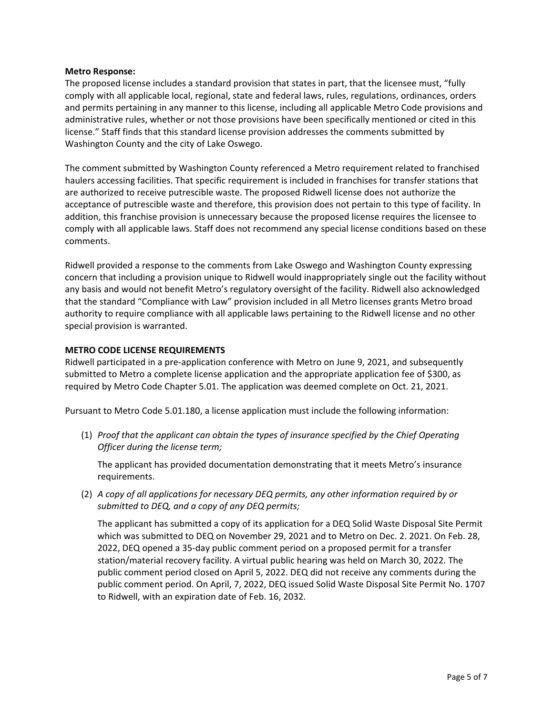### **Metro Response:**

The proposed license includes a standard provision that states in part, that the licensee must, "fully comply with all applicable local, regional, state and federal laws, rules, regulations, ordinances, orders and permits pertaining in any manner to this license, including all applicable Metro Code provisions and administrative rules, whether or not those provisions have been specifically mentioned or cited in this license." Staff finds that this standard license provision addresses the comments submitted by Washington County and the city of Lake Oswego.

The comment submitted by Washington County referenced a Metro requirement related to franchised haulers accessing facilities. That specific requirement is included in franchises for transfer stations that are authorized to receive putrescible waste. The proposed Ridwell license does not authorize the acceptance of putrescible waste and therefore, this provision does not pertain to this type of facility. In addition, this franchise provision is unnecessary because the proposed license requires the licensee to comply with all applicable laws. Staff does not recommend any special license conditions based on these comments.

Ridwell provided a response to the comments from Lake Oswego and Washington County expressing concern that including a provision unique to Ridwell would inappropriately single out the facility without any basis and would not benefit Metro's regulatory oversight of the facility. Ridwell also acknowledged that the standard "Compliance with Law" provision included in all Metro licenses grants Metro broad authority to require compliance with all applicable laws pertaining to the Ridwell license and no other special provision is warranted.

## **METRO CODE LICENSE REQUIREMENTS**

Ridwell participated in a pre-application conference with Metro on June 9, 2021, and subsequently submitted to Metro a complete license application and the appropriate application fee of \$300, as required by Metro Code Chapter 5.01. The application was deemed complete on Oct. 21, 2021.

Pursuant to Metro Code 5.01.180, a license application must include the following information:

(1) *Proof that the applicant can obtain the types of insurance specified by the Chief Operating Officer during the license term;*

The applicant has provided documentation demonstrating that it meets Metro's insurance requirements.

(2) *A copy of all applications for necessary DEQ permits, any other information required by or submitted to DEQ, and a copy of any DEQ permits;*

The applicant has submitted a copy of its application for a DEQ Solid Waste Disposal Site Permit which was submitted to DEQ on November 29, 2021 and to Metro on Dec. 2. 2021. On Feb. 28, 2022, DEQ opened a 35-day public comment period on a proposed permit for a transfer station/material recovery facility. A virtual public hearing was held on March 30, 2022. The public comment period closed on April 5, 2022. DEQ did not receive any comments during the public comment period. On April, 7, 2022, DEQ issued Solid Waste Disposal Site Permit No. 1707 to Ridwell, with an expiration date of Feb. 16, 2032.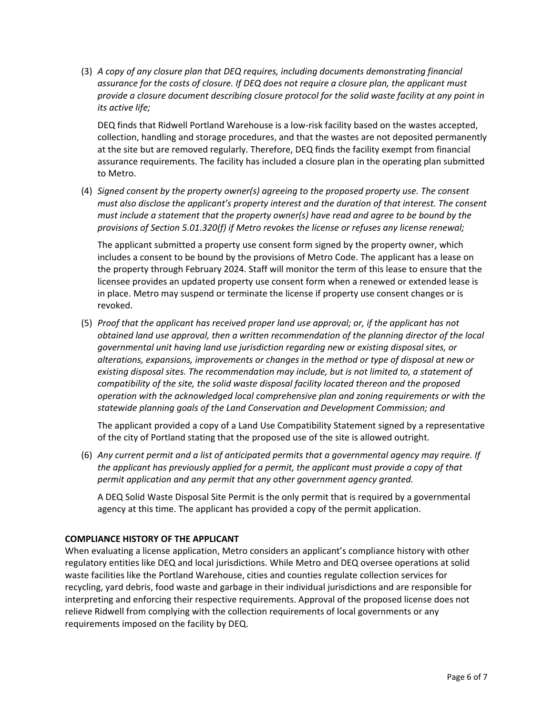(3) *A copy of any closure plan that DEQ requires, including documents demonstrating financial assurance for the costs of closure. If DEQ does not require a closure plan, the applicant must provide a closure document describing closure protocol for the solid waste facility at any point in its active life;*

DEQ finds that Ridwell Portland Warehouse is a low-risk facility based on the wastes accepted, collection, handling and storage procedures, and that the wastes are not deposited permanently at the site but are removed regularly. Therefore, DEQ finds the facility exempt from financial assurance requirements. The facility has included a closure plan in the operating plan submitted to Metro.

(4) *Signed consent by the property owner(s) agreeing to the proposed property use. The consent must also disclose the applicant's property interest and the duration of that interest. The consent must include a statement that the property owner(s) have read and agree to be bound by the provisions of Section 5.01.320(f) if Metro revokes the license or refuses any license renewal;*

The applicant submitted a property use consent form signed by the property owner, which includes a consent to be bound by the provisions of Metro Code. The applicant has a lease on the property through February 2024. Staff will monitor the term of this lease to ensure that the licensee provides an updated property use consent form when a renewed or extended lease is in place. Metro may suspend or terminate the license if property use consent changes or is revoked.

(5) *Proof that the applicant has received proper land use approval; or, if the applicant has not obtained land use approval, then a written recommendation of the planning director of the local governmental unit having land use jurisdiction regarding new or existing disposal sites, or alterations, expansions, improvements or changes in the method or type of disposal at new or existing disposal sites. The recommendation may include, but is not limited to, a statement of compatibility of the site, the solid waste disposal facility located thereon and the proposed operation with the acknowledged local comprehensive plan and zoning requirements or with the statewide planning goals of the Land Conservation and Development Commission; and* 

The applicant provided a copy of a Land Use Compatibility Statement signed by a representative of the city of Portland stating that the proposed use of the site is allowed outright.

(6) *Any current permit and a list of anticipated permits that a governmental agency may require. If the applicant has previously applied for a permit, the applicant must provide a copy of that permit application and any permit that any other government agency granted.*

A DEQ Solid Waste Disposal Site Permit is the only permit that is required by a governmental agency at this time. The applicant has provided a copy of the permit application.

## **COMPLIANCE HISTORY OF THE APPLICANT**

When evaluating a license application, Metro considers an applicant's compliance history with other regulatory entities like DEQ and local jurisdictions. While Metro and DEQ oversee operations at solid waste facilities like the Portland Warehouse, cities and counties regulate collection services for recycling, yard debris, food waste and garbage in their individual jurisdictions and are responsible for interpreting and enforcing their respective requirements. Approval of the proposed license does not relieve Ridwell from complying with the collection requirements of local governments or any requirements imposed on the facility by DEQ.